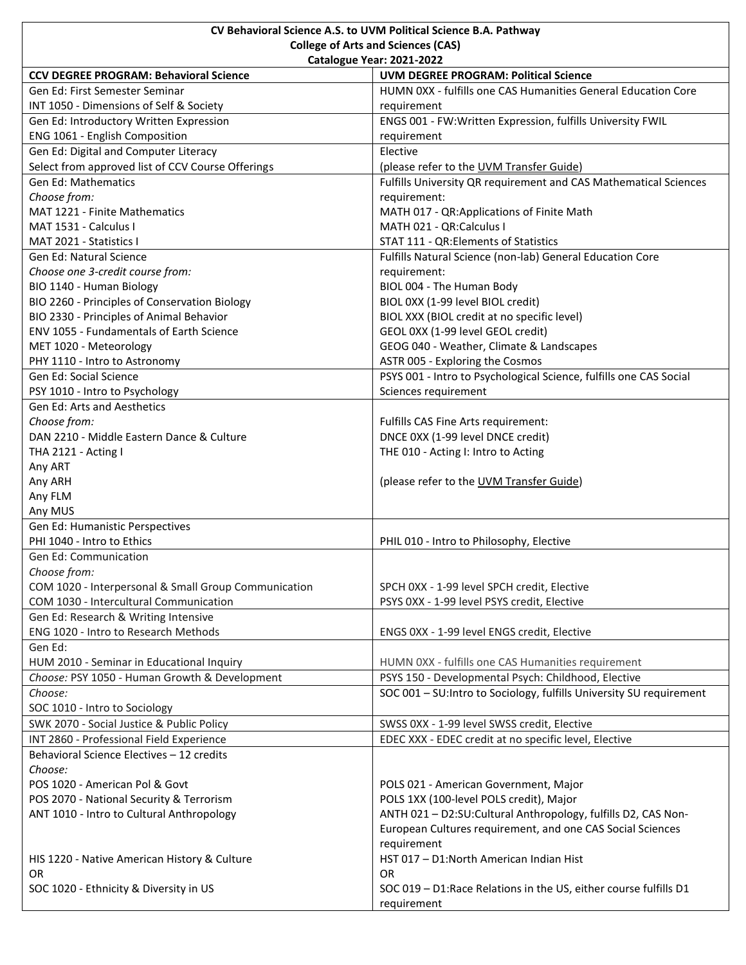| CV Behavioral Science A.S. to UVM Political Science B.A. Pathway |                                                                      |
|------------------------------------------------------------------|----------------------------------------------------------------------|
| <b>College of Arts and Sciences (CAS)</b>                        |                                                                      |
|                                                                  | Catalogue Year: 2021-2022                                            |
| <b>CCV DEGREE PROGRAM: Behavioral Science</b>                    | <b>UVM DEGREE PROGRAM: Political Science</b>                         |
| Gen Ed: First Semester Seminar                                   | HUMN 0XX - fulfills one CAS Humanities General Education Core        |
| INT 1050 - Dimensions of Self & Society                          | requirement                                                          |
| Gen Ed: Introductory Written Expression                          | ENGS 001 - FW:Written Expression, fulfills University FWIL           |
| ENG 1061 - English Composition                                   | requirement                                                          |
| Gen Ed: Digital and Computer Literacy                            | Elective                                                             |
| Select from approved list of CCV Course Offerings                | (please refer to the UVM Transfer Guide)                             |
| <b>Gen Ed: Mathematics</b>                                       | Fulfills University QR requirement and CAS Mathematical Sciences     |
| Choose from:                                                     | requirement:                                                         |
| <b>MAT 1221 - Finite Mathematics</b>                             | MATH 017 - QR:Applications of Finite Math                            |
| MAT 1531 - Calculus I                                            | MATH 021 - QR:Calculus I                                             |
| MAT 2021 - Statistics I                                          | STAT 111 - QR: Elements of Statistics                                |
| <b>Gen Ed: Natural Science</b>                                   | Fulfills Natural Science (non-lab) General Education Core            |
| Choose one 3-credit course from:                                 | requirement:                                                         |
| BIO 1140 - Human Biology                                         | BIOL 004 - The Human Body                                            |
| BIO 2260 - Principles of Conservation Biology                    | BIOL 0XX (1-99 level BIOL credit)                                    |
| BIO 2330 - Principles of Animal Behavior                         | BIOL XXX (BIOL credit at no specific level)                          |
| ENV 1055 - Fundamentals of Earth Science                         | GEOL 0XX (1-99 level GEOL credit)                                    |
| MET 1020 - Meteorology                                           | GEOG 040 - Weather, Climate & Landscapes                             |
| PHY 1110 - Intro to Astronomy                                    | ASTR 005 - Exploring the Cosmos                                      |
| Gen Ed: Social Science                                           | PSYS 001 - Intro to Psychological Science, fulfills one CAS Social   |
| PSY 1010 - Intro to Psychology                                   | Sciences requirement                                                 |
| Gen Ed: Arts and Aesthetics                                      |                                                                      |
| Choose from:                                                     | Fulfills CAS Fine Arts requirement:                                  |
| DAN 2210 - Middle Eastern Dance & Culture                        | DNCE 0XX (1-99 level DNCE credit)                                    |
| THA 2121 - Acting I                                              | THE 010 - Acting I: Intro to Acting                                  |
| Any ART                                                          |                                                                      |
| Any ARH                                                          | (please refer to the UVM Transfer Guide)                             |
| Any FLM                                                          |                                                                      |
| Any MUS                                                          |                                                                      |
| Gen Ed: Humanistic Perspectives                                  |                                                                      |
| PHI 1040 - Intro to Ethics                                       | PHIL 010 - Intro to Philosophy, Elective                             |
| Gen Ed: Communication                                            |                                                                      |
| Choose from:                                                     |                                                                      |
| COM 1020 - Interpersonal & Small Group Communication             | SPCH 0XX - 1-99 level SPCH credit, Elective                          |
| COM 1030 - Intercultural Communication                           | PSYS 0XX - 1-99 level PSYS credit, Elective                          |
| Gen Ed: Research & Writing Intensive                             |                                                                      |
| ENG 1020 - Intro to Research Methods                             | ENGS 0XX - 1-99 level ENGS credit, Elective                          |
| Gen Ed:                                                          |                                                                      |
| HUM 2010 - Seminar in Educational Inquiry                        | HUMN 0XX - fulfills one CAS Humanities requirement                   |
| Choose: PSY 1050 - Human Growth & Development                    | PSYS 150 - Developmental Psych: Childhood, Elective                  |
| Choose:                                                          | SOC 001 - SU: Intro to Sociology, fulfills University SU requirement |
| SOC 1010 - Intro to Sociology                                    |                                                                      |
| SWK 2070 - Social Justice & Public Policy                        | SWSS 0XX - 1-99 level SWSS credit, Elective                          |
| INT 2860 - Professional Field Experience                         | EDEC XXX - EDEC credit at no specific level, Elective                |
| Behavioral Science Electives - 12 credits                        |                                                                      |
| Choose:                                                          |                                                                      |
| POS 1020 - American Pol & Govt                                   | POLS 021 - American Government, Major                                |
| POS 2070 - National Security & Terrorism                         | POLS 1XX (100-level POLS credit), Major                              |
| ANT 1010 - Intro to Cultural Anthropology                        | ANTH 021 - D2:SU: Cultural Anthropology, fulfills D2, CAS Non-       |
|                                                                  | European Cultures requirement, and one CAS Social Sciences           |
|                                                                  | requirement                                                          |
| HIS 1220 - Native American History & Culture                     | HST 017 - D1:North American Indian Hist                              |
| OR                                                               | 0R                                                                   |
| SOC 1020 - Ethnicity & Diversity in US                           | SOC 019 - D1: Race Relations in the US, either course fulfills D1    |
|                                                                  | requirement                                                          |
|                                                                  |                                                                      |